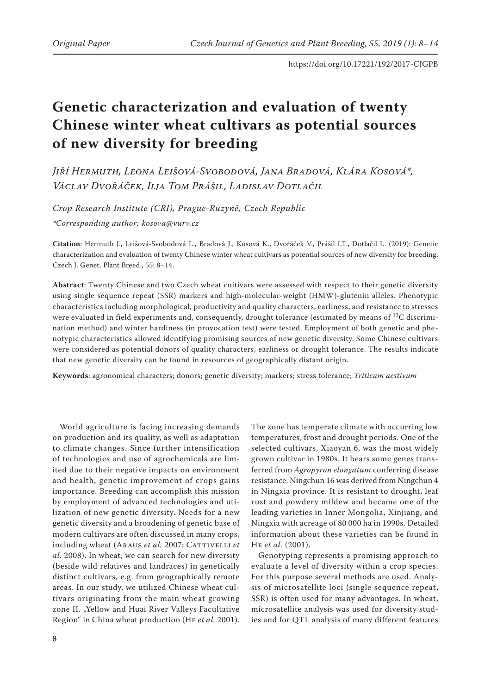# **Genetic characterization and evaluation of twenty Chinese winter wheat cultivars as potential sources of new diversity for breeding**

*Jiří Hermuth, Leona Leišová-Svobodová, Jana Bradová, Klára Kosová\*, Václav Dvořáček, Ilja Tom Prášil, Ladislav Dotlačil*

*Crop Research Institute (CRI), Prague-Ruzyně, Czech Republic \*Corresponding author: kosova@vurv.cz*

**Citation**: Hermuth J., Leišová-Svobodová L., Bradová J., Kosová K., Dvořáček V., Prášil I.T., Dotlačil L. (2019): Genetic characterization and evaluation of twenty Chinese winter wheat cultivars as potential sources of new diversity for breeding. Czech J. Genet. Plant Breed., 55: 8−14.

**Abstract**: Twenty Chinese and two Czech wheat cultivars were assessed with respect to their genetic diversity using single sequence repeat (SSR) markers and high-molecular-weight (HMW)-glutenin alleles. Phenotypic characteristics including morphological, productivity and quality characters, earliness, and resistance to stresses were evaluated in field experiments and, consequently, drought tolerance (estimated by means of  $^{13}C$  discrimination method) and winter hardiness (in provocation test) were tested. Employment of both genetic and phenotypic characteristics allowed identifying promising sources of new genetic diversity. Some Chinese cultivars were considered as potential donors of quality characters, earliness or drought tolerance. The results indicate that new genetic diversity can be found in resources of geographically distant origin.

**Keywords**: agronomical characters; donors; genetic diversity; markers; stress tolerance; *Triticum aestivum*

World agriculture is facing increasing demands on production and its quality, as well as adaptation to climate changes. Since further intensification of technologies and use of agrochemicals are limited due to their negative impacts on environment and health, genetic improvement of crops gains importance. Breeding can accomplish this mission by employment of advanced technologies and utilization of new genetic diversity. Needs for a new genetic diversity and a broadening of genetic base of modern cultivars are often discussed in many crops, including wheat (ARAUS *et al.* 2007; CATTIVELLI *et al.* 2008). In wheat, we can search for new diversity (beside wild relatives and landraces) in genetically distinct cultivars, e.g. from geographically remote areas. In our study, we utilized Chinese wheat cultivars originating from the main wheat growing zone II. "Yellow and Huai River Valleys Facultative Region" in China wheat production (He *et al.* 2001).

**8**

The zone has temperate climate with occurring low temperatures, frost and drought periods. One of the selected cultivars, Xiaoyan 6, was the most widely grown cultivar in 1980s. It bears some genes transferred from *Agropyron elongatum* conferring disease resistance. Ningchun 16 was derived from Ningchun 4 in Ningxia province. It is resistant to drought, leaf rust and powdery mildew and became one of the leading varieties in Inner Mongolia, Xinjiang, and Ningxia with acreage of 80 000 ha in 1990s. Detailed information about these varieties can be found in He *et al.* (2001).

Genotyping represents a promising approach to evaluate a level of diversity within a crop species. For this purpose several methods are used. Analysis of microsatellite loci (single sequence repeat, SSR) is often used for many advantages. In wheat, microsatellite analysis was used for diversity studies and for QTL analysis of many different features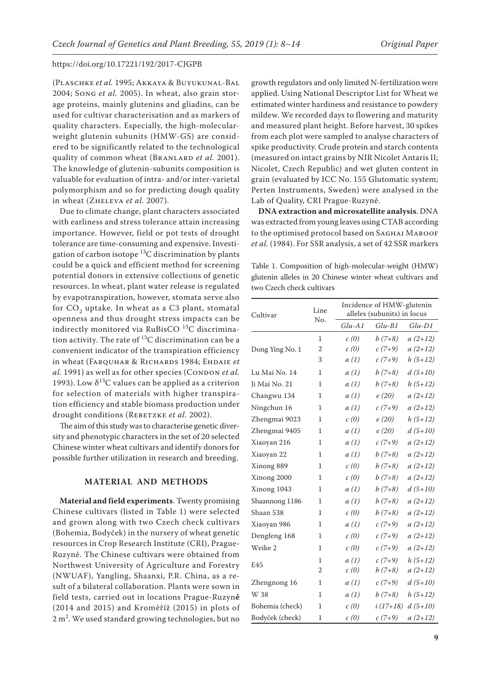(Plaschke *et al.* 1995; Akkaya & Buyukunal-Bal 2004; Song *et al.* 2005). In wheat, also grain storage proteins, mainly glutenins and gliadins, can be used for cultivar characterisation and as markers of quality characters. Especially, the high-molecularweight glutenin subunits (HMW-GS) are considered to be significantly related to the technological quality of common wheat (BRANLARD et al. 2001). The knowledge of glutenin-subunits composition is valuable for evaluation of intra- and/or inter-varietal polymorphism and so for predicting dough quality in wheat (Zheleva *et al.* 2007).

Due to climate change, plant characters associated with earliness and stress tolerance attain increasing importance. However, field or pot tests of drought tolerance are time-consuming and expensive. Investigation of carbon isotope  ${}^{13}C$  discrimination by plants could be a quick and efficient method for screening potential donors in extensive collections of genetic resources. In wheat, plant water release is regulated by evapotranspiration, however, stomata serve also for  $CO<sub>2</sub>$  uptake. In wheat as a C3 plant, stomatal openness and thus drought stress impacts can be indirectly monitored via RuBisCO  $^{13}$ C discrimination activity. The rate of  $^{13}$ C discrimination can be a convenient indicator of the transpiration efficiency in wheat (Farquhar & Richards 1984; Ehdaie *et al.* 1991) as well as for other species (CONDON *et al.* 1993). Low  $\delta^{13}C$  values can be applied as a criterion for selection of materials with higher transpiration efficiency and stable biomass production under drought conditions (REBETZKE et al. 2002).

The aim of this study was to characterise genetic diversity and phenotypic characters in the set of 20 selected Chinese winter wheat cultivars and identify donors for possible further utilization in research and breeding.

# **MATERIAL AND METHODS**

**Material and field experiments**. Twenty promising Chinese cultivars (listed in Table 1) were selected and grown along with two Czech check cultivars (Bohemia, Bodyček) in the nursery of wheat genetic resources in Crop Research Institute (CRI), Prague-Ruzyně. The Chinese cultivars were obtained from Northwest University of Agriculture and Forestry (NWUAF), Yangling, Shaanxi, P.R. China, as a result of a bilateral collaboration. Plants were sown in field tests, carried out in locations Prague-Ruzyn**ě** (2014 and 2015) and Kroměříž (2015) in plots of 2 m<sup>2</sup>. We used standard growing technologies, but no

growth regulators and only limited N-fertilization were applied. Using National Descriptor List for Wheat we estimated winter hardiness and resistance to powdery mildew. We recorded days to flowering and maturity and measured plant height. Before harvest, 30 spikes from each plot were sampled to analyse characters of spike productivity. Crude protein and starch contents (measured on intact grains by NIR Nicolet Antaris II; Nicolet, Czech Republic) and wet gluten content in grain (evaluated by ICC No. 155 Glutomatic system; Perten Instruments, Sweden) were analysed in the Lab of Quality, CRI Prague-Ruzyně.

**DNA extraction and microsatellite analysis**. DNA was extracted from young leaves using CTAB according to the optimised protocol based on SAGHAI MAROOF *et al.* (1984). For SSR analysis, a set of 42 SSR markers

Table 1. Composition of high-molecular-weight (HMW) glutenin alleles in 20 Chinese winter wheat cultivars and two Czech check cultivars

| Cultivar        | Line<br>No.    |          | Incidence of HMW-glutenin<br>alleles (subunits) in locus |           |
|-----------------|----------------|----------|----------------------------------------------------------|-----------|
|                 |                | $Glu-A1$ | $Glu-B1$                                                 | $Glu-D1$  |
|                 | 1              | c(0)     | $b(7+8)$                                                 | $a(2+12)$ |
| Dong Ying No. 1 | $\overline{2}$ | c(0)     | $c(7+9)$                                                 | $a(2+12)$ |
|                 | 3              | a(1)     | $c(7+9)$                                                 | $h(5+12)$ |
| Lu Mai No. 14   | 1              | a(1)     | $b(7+8)$                                                 | $d(5+10)$ |
| Ji Mai No. 21   | 1              | a(1)     | $b(7+8)$                                                 | $h(5+12)$ |
| Changwu 134     | 1              | a(1)     | e(20)                                                    | $a(2+12)$ |
| Ningchun 16     | 1              | a(1)     | $c(7+9)$                                                 | $a(2+12)$ |
| Zhengmai 9023   | 1              | c(0)     | e(20)                                                    | $h(5+12)$ |
| Zhengmai 9405   | 1              | a(1)     | e(20)                                                    | $d(5+10)$ |
| Xiaoyan 216     | 1              | a(1)     | $c(7+9)$                                                 | $a(2+12)$ |
| Xiaoyan 22      | 1              | a(1)     | $b(7+8)$                                                 | $a(2+12)$ |
| Xinong 889      | 1              | c(0)     | $b(7+8)$                                                 | $a(2+12)$ |
| Xinong 2000     | 1              | c(0)     | $b(7+8)$                                                 | $a(2+12)$ |
| Xinong 1043     | 1              | a(1)     | $b(7+8)$                                                 | $d(5+10)$ |
| Shaannong 1186  | 1              | a(1)     | $b(7+8)$                                                 | $a(2+12)$ |
| Shaan 538       | 1              | c(0)     | $b(7+8)$                                                 | $a(2+12)$ |
| Xiaoyan 986     | 1              | a(1)     | $c(7+9)$                                                 | $a(2+12)$ |
| Dengfeng 168    | 1              | c(0)     | $c(7+9)$                                                 | $a(2+12)$ |
| Weike 2         | 1              | c(0)     | $c(7+9)$                                                 | $a(2+12)$ |
|                 | 1              | a(1)     | $c(7+9)$                                                 | $h(5+12)$ |
| E45             | $\overline{2}$ | c(0)     | $b(7+8)$                                                 | $a(2+12)$ |
| Zhengnong 16    | 1              | a(1)     | $c(7+9)$                                                 | $d(5+10)$ |
| W 38            | 1              | a(1)     | $b(7+8)$                                                 | $h(5+12)$ |
| Bohemia (check) | 1              | c(0)     | $i(17+18)$                                               | $d(5+10)$ |
| Bodyček (check) | 1              | c(0)     | $c(7+9)$                                                 | $a(2+12)$ |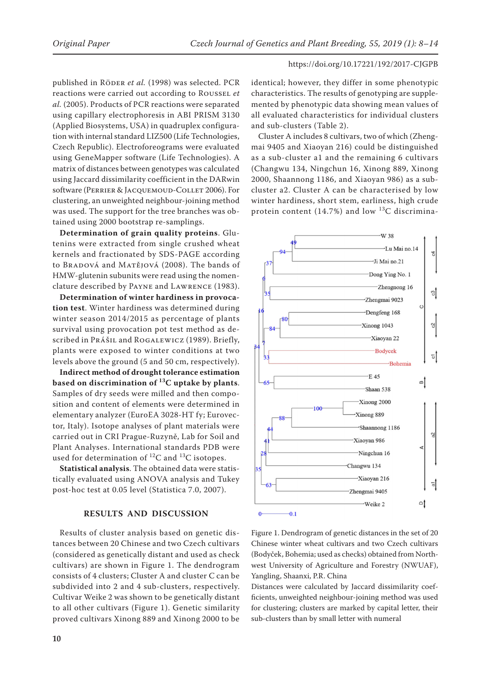published in Röder *et al.* (1998) was selected. PCR reactions were carried out according to Roussel *et al.* (2005). Products of PCR reactions were separated using capillary electrophoresis in ABI PRISM 3130 (Applied Biosystems, USA) in quadruplex configuration with internal standard LIZ500 (Life Technologies, Czech Republic). Electroforeograms were evaluated using GeneMapper software (Life Technologies). A matrix of distances between genotypes was calculated using Jaccard dissimilarity coefficient in the DARwin software (PERRIER & JACQUEMOUD-COLLET 2006). For clustering, an unweighted neighbour-joining method was used. The support for the tree branches was obtained using 2000 bootstrap re-samplings.

**Determination of grain quality proteins**. Glutenins were extracted from single crushed wheat kernels and fractionated by SDS-PAGE according to BRADOVÁ and MATĚJOVÁ (2008). The bands of HMW-glutenin subunits were read using the nomenclature described by Payne and Lawrence (1983).

**Determination of winter hardiness in provocation test**. Winter hardiness was determined during winter season 2014/2015 as percentage of plants survival using provocation pot test method as described in Prášil and Rogalewicz (1989). Briefly, plants were exposed to winter conditions at two levels above the ground (5 and 50 cm, respectively).

**Indirect method of drought tolerance estimation based on discrimination of 13C uptake by plants**. Samples of dry seeds were milled and then composition and content of elements were determined in elementary analyzer (EuroEA 3028-HT fy; Eurovector, Italy). Isotope analyses of plant materials were carried out in CRI Prague-Ruzyně, Lab for Soil and Plant Analyses. International standards PDB were used for determination of  ${}^{12}C$  and  ${}^{13}C$  isotopes.

**Statistical analysis**. The obtained data were statistically evaluated using ANOVA analysis and Tukey post-hoc test at 0.05 level (Statistica 7.0, 2007).

## **RESULTS AND DISCUSSION**

Results of cluster analysis based on genetic distances between 20 Chinese and two Czech cultivars (considered as genetically distant and used as check cultivars) are shown in Figure 1. The dendrogram consists of 4 clusters; Cluster A and cluster C can be subdivided into 2 and 4 sub-clusters, respectively. Cultivar Weike 2 was shown to be genetically distant to all other cultivars (Figure 1). Genetic similarity proved cultivars Xinong 889 and Xinong 2000 to be identical; however, they differ in some phenotypic characteristics. The results of genotyping are supplemented by phenotypic data showing mean values of all evaluated characteristics for individual clusters and sub-clusters (Table 2).

Cluster A includes 8 cultivars, two of which (Zhengmai 9405 and Xiaoyan 216) could be distinguished as a sub-cluster a1 and the remaining 6 cultivars (Changwu 134, Ningchun 16, Xinong 889, Xinong 2000, Shaannong 1186, and Xiaoyan 986) as a subcluster a2. Cluster A can be characterised by low winter hardiness, short stem, earliness, high crude protein content (14.7%) and low  $^{13}$ C discrimina-



Figure 1. Dendrogram of genetic distances in the set of 20 Chinese winter wheat cultivars and two Czech cultivars (Bodyček, Bohemia; used as checks) obtained from Northwest University of Agriculture and Forestry (NWUAF), Yangling, Shaanxi, P.R. China

Distances were calculated by Jaccard dissimilarity coefficients, unweighted neighbour-joining method was used for clustering; clusters are marked by capital letter, their sub-clusters than by small letter with numeral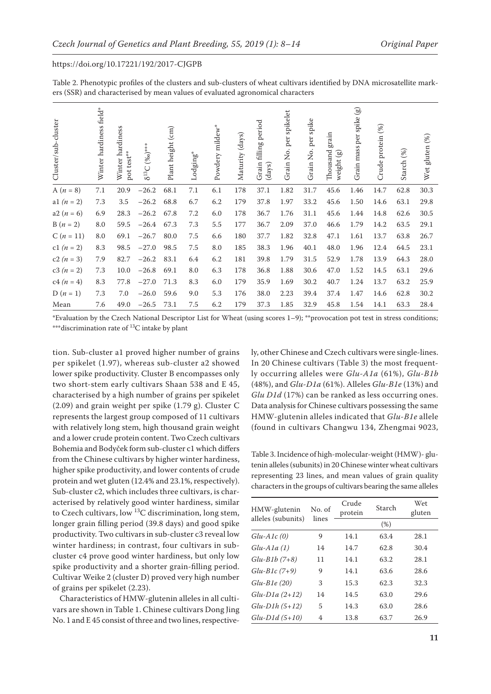| Table 2. Phenotypic profiles of the clusters and sub-clusters of wheat cultivars identified by DNA microsatellite mark- |  |  |  |  |
|-------------------------------------------------------------------------------------------------------------------------|--|--|--|--|
| ers (SSR) and characterised by mean values of evaluated agronomical characters                                          |  |  |  |  |

| Cluster/sub-cluster | Winter hardiness field* | Winter hardiness<br>pot test** | $(\%0)^{***}$<br>$\delta^{13}C$ | Plant height (cm) | Lodging* | Powdery mildew* | (days)<br>Maturity | filling period<br>Grain<br>(days) | spikelet<br>per<br>Grain No. | spike<br>Grain No. per | grain<br>Thousand<br>ම<br>weight | $\circledcirc$<br>spike<br>Grain mass per | (%)<br>protein<br>Crude | (%)<br>Starch | Wet gluten (%) |
|---------------------|-------------------------|--------------------------------|---------------------------------|-------------------|----------|-----------------|--------------------|-----------------------------------|------------------------------|------------------------|----------------------------------|-------------------------------------------|-------------------------|---------------|----------------|
| A $(n = 8)$         | 7.1                     | 20.9                           | $-26.2$                         | 68.1              | 7.1      | 6.1             | 178                | 37.1                              | 1.82                         | 31.7                   | 45.6                             | 1.46                                      | 14.7                    | 62.8          | 30.3           |
| a1 $(n = 2)$        | 7.3                     | 3.5                            | $-26.2$                         | 68.8              | 6.7      | 6.2             | 179                | 37.8                              | 1.97                         | 33.2                   | 45.6                             | 1.50                                      | 14.6                    | 63.1          | 29.8           |
| $a2(n=6)$           | 6.9                     | 28.3                           | $-26.2$                         | 67.8              | 7.2      | 6.0             | 178                | 36.7                              | 1.76                         | 31.1                   | 45.6                             | 1.44                                      | 14.8                    | 62.6          | 30.5           |
| $B(n = 2)$          | 8.0                     | 59.5                           | $-26.4$                         | 67.3              | 7.3      | 5.5             | 177                | 36.7                              | 2.09                         | 37.0                   | 46.6                             | 1.79                                      | 14.2                    | 63.5          | 29.1           |
| $C(n = 11)$         | 8.0                     | 69.1                           | $-26.7$                         | 80.0              | $7.5\,$  | 6.6             | 180                | 37.7                              | 1.82                         | 32.8                   | 47.1                             | 1.61                                      | 13.7                    | 63.8          | 26.7           |
| c1 $(n = 2)$        | 8.3                     | 98.5                           | $-27.0$                         | 98.5              | $7.5\,$  | 8.0             | 185                | 38.3                              | 1.96                         | 40.1                   | 48.0                             | 1.96                                      | 12.4                    | 64.5          | 23.1           |
| c2 $(n = 3)$        | 7.9                     | 82.7                           | $-26.2$                         | 83.1              | 6.4      | 6.2             | 181                | 39.8                              | 1.79                         | 31.5                   | 52.9                             | 1.78                                      | 13.9                    | 64.3          | 28.0           |
| c3 $(n = 2)$        | 7.3                     | 10.0                           | $-26.8$                         | 69.1              | 8.0      | 6.3             | 178                | 36.8                              | 1.88                         | 30.6                   | 47.0                             | 1.52                                      | 14.5                    | 63.1          | 29.6           |
| $c4(n = 4)$         | 8.3                     | 77.8                           | $-27.0$                         | 71.3              | 8.3      | 6.0             | 179                | 35.9                              | 1.69                         | 30.2                   | 40.7                             | 1.24                                      | 13.7                    | 63.2          | 25.9           |
| $D(n = 1)$          | 7.3                     | 7.0                            | $-26.0$                         | 59.6              | 9.0      | 5.3             | 176                | 38.0                              | 2.23                         | 39.4                   | 37.4                             | 1.47                                      | 14.6                    | 62.8          | 30.2           |
| Mean                | 7.6                     | 49.0                           | $-26.5$                         | 73.1              | $7.5\,$  | 6.2             | 179                | 37.3                              | 1.85                         | 32.9                   | 45.8                             | 1.54                                      | 14.1                    | 63.3          | 28.4           |

\*Evaluation by the Czech National Descriptor List for Wheat (using scores 1–9); \*\*provocation pot test in stress conditions; \*\*\*discrimination rate of  ${}^{13}C$  intake by plant

tion. Sub-cluster a1 proved higher number of grains per spikelet (1.97), whereas sub-cluster a2 showed lower spike productivity. Cluster B encompasses only two short-stem early cultivars Shaan 538 and E 45, characterised by a high number of grains per spikelet (2.09) and grain weight per spike (1.79 g). Cluster C represents the largest group composed of 11 cultivars with relatively long stem, high thousand grain weight and a lower crude protein content. Two Czech cultivars Bohemia and Bodyček form sub-cluster c1 which differs from the Chinese cultivars by higher winter hardiness, higher spike productivity, and lower contents of crude protein and wet gluten (12.4% and 23.1%, respectively). Sub-cluster c2, which includes three cultivars, is characterised by relatively good winter hardiness, similar to Czech cultivars, low  ${}^{13}C$  discrimination, long stem, longer grain filling period (39.8 days) and good spike productivity. Two cultivars in sub-cluster c3 reveal low winter hardiness; in contrast, four cultivars in subcluster c4 prove good winter hardiness, but only low spike productivity and a shorter grain-filling period. Cultivar Weike 2 (cluster D) proved very high number of grains per spikelet (2.23).

Characteristics of HMW-glutenin alleles in all cultivars are shown in Table 1. Chinese cultivars Dong Jing No. 1 and E 45 consist of three and two lines, respectively, other Chinese and Czech cultivars were single-lines. In 20 Chinese cultivars (Table 3) the most frequently occurring alleles were *Glu-A1a* (61%), *Glu-B1b* (48%), and *Glu-D1a* (61%). Alleles *Glu-B1e* (13%) and *Glu D1d* (17%) can be ranked as less occurring ones. Data analysis for Chinese cultivars possessing the same HMW-glutenin alleles indicated that *Glu-B1e* allele (found in cultivars Changwu 134, Zhengmai 9023,

Table 3. Incidence of high-molecular-weight (HMW)- glutenin alleles (subunits) in 20 Chinese winter wheat cultivars representing 23 lines, and mean values of grain quality characters in the groups of cultivars bearing the same alleles

| HMW-glutenin       | No. of<br>lines | Crude<br>protein | Starch | Wet<br>gluten |
|--------------------|-----------------|------------------|--------|---------------|
| alleles (subunits) |                 |                  | (%)    |               |
| $Glu-A1c(0)$       | 9               | 14.1             | 63.4   | 28.1          |
| $Glu-A1a(1)$       | 14              | 14.7             | 62.8   | 30.4          |
| $Glu-B1b(7+8)$     | 11              | 14.1             | 63.2   | 28.1          |
| $Glu-B1c(7+9)$     | 9               | 14.1             | 63.6   | 28.6          |
| $Glu-B1e(20)$      | 3               | 15.3             | 62.3   | 32.3          |
| $Glu-D1a(2+12)$    | 14              | 14.5             | 63.0   | 29.6          |
| $Glu-D1h(5+12)$    | 5               | 14.3             | 63.0   | 28.6          |
| $Glu-D1d(5+10)$    | 4               | 13.8             | 63.7   | 26.9          |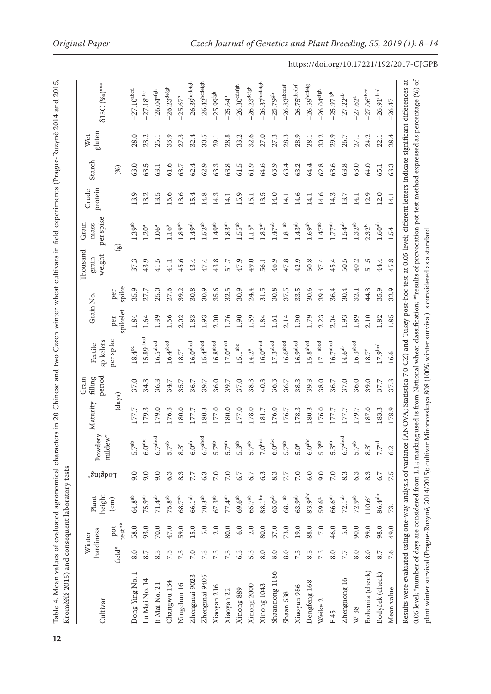| i<br>NTR TT TA<br>5,54<br>i<br>I<br>l<br>wittings in thold ov<br>S<br>S<br>֚֚֡<br>אמת בוות   היטי<br>$\overline{C}$<br>֧֛֪֦֧֛֪֛֛֪֪֛֪֛֪֪֛֪֛֚֝֟֝֟֝֝֝֝֝֟֟֝֬֝֬֝֝֬֝֬֝֓֟֓֝֬֝֓֟֝֬֝֬֝֓֟֝֬֝֓֟֓֝֬֝֓֝֬֝֓֝֬֝֬֝֬֝֬֝֬֝֬֟֝֬֝֟֝֬֝֟<br>֧֧֢ׅ֧֧֚֚֚֚֚֚֚֚֚֚֚֚֚֚֚֚֚֚֚֚֬֓֓֝֓ <b>֓</b><br>֦֧֧֦֧֧֧֧֧֧֧֧֧֧֧֞֟֟֟֓֝֬֝֝֬֝֬֝֬֓֝֬֝֬֝֬֝֬֓֝֬֝֬֝֬֝֬֟֓֝֬֟֓֝֬֝֬֝֬֟<br>l<br>l<br>֧֧֚֝<br>į | もく<br>.<br>.<br>.<br>$\frac{1}{2}$<br>ו<br>י<br>I |
|-------------------------------------------------------------------------------------------------------------------------------------------------------------------------------------------------------------------------------------------------------------------------------------------------------------------------------------------------------|---------------------------------------------------|
| l                                                                                                                                                                                                                                                                                                                                                     | $\frac{1}{2}$<br>Ì<br><b>.</b><br>֚֚֕֡֡           |
| 12                                                                                                                                                                                                                                                                                                                                                    |                                                   |

| Cultivar                                                                                                                                                                                                                                                                                                                                                                        |        | hardiness<br>Winter      | height<br>Plant    | Lodging* | Powdery                         | Maturity | period<br>filling<br>Grain | spikelets<br>Fertile    |                 | Grain No.    | Thousand<br>weight<br>grain | per spike<br>Grain<br>mass | protein<br>Crude | Starch | gluten<br>Wet | $\delta$ 13C $(\%$ <sub>0</sub> )***                                                                                      |
|---------------------------------------------------------------------------------------------------------------------------------------------------------------------------------------------------------------------------------------------------------------------------------------------------------------------------------------------------------------------------------|--------|--------------------------|--------------------|----------|---------------------------------|----------|----------------------------|-------------------------|-----------------|--------------|-----------------------------|----------------------------|------------------|--------|---------------|---------------------------------------------------------------------------------------------------------------------------|
|                                                                                                                                                                                                                                                                                                                                                                                 | field* | $test**$<br>$_{\rm pot}$ | $\text{cm}$ )      |          | mildew*                         | (days)   |                            | per spike               | spikelet<br>per | spike<br>per |                             | $\circledB$                |                  | (%)    |               |                                                                                                                           |
| $\overline{\phantom{0}}$<br>Dong Ying No.                                                                                                                                                                                                                                                                                                                                       | 8.0    | 58.0                     | $64.8^{\rm ab}$    | 9.0      | ÷,<br>5.7                       | 177.7    | 37.0                       | $18.4^{\rm cd}$         | 1.84            | 35.9         | 37.3                        | 1.39 <sup>ab</sup>         | 3.9              | 63.0   | 28.0          | $-27.10$ abcd                                                                                                             |
| Lu Mai No. 14                                                                                                                                                                                                                                                                                                                                                                   | 8.7    | 93.0                     | 75.9 <sup>ab</sup> | 9.0      | $6.0^\mathrm{abc}$              | 179.3    | 34.3                       | $15.89$ <sup>abcd</sup> | $1.64\,$        | 27.7         | 43.9                        | $1.20^{a}$                 | 13.2             | 63.5   | 23.2          | $-27.18^{\rm abc}$                                                                                                        |
| Ji Mai No. 21                                                                                                                                                                                                                                                                                                                                                                   | 8.3    | $70.0\,$                 | $71.4^{\rm ab}$    | 9.0      | $6.7^{\rm abcd}$                | 179.0    | 36.3                       | $16.5^{\rm abcd}$       | 1.39            | 25.0         | 41.5                        | $1.06^{a}$                 | 13.5             | 63.1   | 25.1          | $-26.04$ efgh                                                                                                             |
| Changwu 134                                                                                                                                                                                                                                                                                                                                                                     |        | 47.0                     | $75.8^{\rm ab}$    | 6.3      | $5.7^{\rm ab}$                  | 176.3    | 34.7                       | $16.4^{\rm abcd}$       | 1.56            | 27.6         | 41.1                        | $1.16^{a}$                 | 15.6             | 61.6   | 33.9          | $-26.23$ defgh                                                                                                            |
| Ningchun 16                                                                                                                                                                                                                                                                                                                                                                     | 7.3    | 59.0                     | 68.7 <sup>ab</sup> | 8.3      | $\overline{\phantom{a}}$<br>8.3 | 180.0    | 35.7                       | $18.7^{\rm d}$          | 2.02            | 39.2         | 45.6                        | $1.89^{\rm ab}$            | 13.6             | 63.7   | 27.3          | $-25.67^h$                                                                                                                |
| Zhengmai 9023                                                                                                                                                                                                                                                                                                                                                                   | 7.0    | 15.0                     | $66.1^{\rm ab}$    | 7.7      | $6.0^\mathrm{ab}$               | 177.7    | 36.7                       | $16.0^{\rm abcd}$       | 1.83            | 30.8         | 43.4                        | 1.49 <sup>ab</sup>         | 15.4             | 62.4   | 32.4          | $-26.39$ bcdefgh                                                                                                          |
| Zhengmai 9405                                                                                                                                                                                                                                                                                                                                                                   | 7.3    | 5.0                      | $70.3^{\rm ab}$    | 6.3      | $6.7^{\rm abcd}$                | 180.3    | 39.7                       | $15.4^{\rm abcd}$       | 1.93            | 30.9         | 47.4                        | $1.52^{\rm ab}$            | 14.8             | 62.9   | 30.5          | $-26.42^{bode\text{fgh}}$                                                                                                 |
| Xiaoyan 216                                                                                                                                                                                                                                                                                                                                                                     | 73     | 2.0                      | $67.3^{\rm ab}$    | $7.0\,$  | 5.7 <sup>ab</sup>               | 177.0    | 36.0                       | 16.8 <sup>abcd</sup>    | 2.00            | 35.6         | 43.8                        | $1.49^{\rm ab}$            | 14.3             | 63.3   | 29.1          | $-25.99$ fgh                                                                                                              |
| Xiaoyan 22                                                                                                                                                                                                                                                                                                                                                                      | 7.3    | 80.0                     | $77.4^{\rm ab}$    | 7.0      | 싆<br>5.7                        | 180.0    | 39.7                       | $17.0^{\rm abcd}$       | 1.76            | 32.5         | 51.7                        | $1.83^{\rm ab}$            | 14.1             | 63.8   | 28.8          | $-25.64^{h}$                                                                                                              |
| Xinong 889                                                                                                                                                                                                                                                                                                                                                                      | 6.3    | 6.0                      | 69.6 <sup>ab</sup> | 6.7      | 슧<br>5.3                        | 177.0    | 37.0                       | $15.1^{\rm abc}$        | 1.90            | 30.9         | 47.9                        | $1.55^{\rm ab}$            | 15.9             | 61.5   | 33.2          | $-26.30$ <sup>cdefgh</sup>                                                                                                |
| Xinong 2000                                                                                                                                                                                                                                                                                                                                                                     | 5.3    | 2.0                      | $65.7^{\rm ab}$    | 6.7      | $5.7^{\rm ab}$                  | 178.0    | 38.3                       | $14.2^{a}$              | 1.59            | 24.4         | 49.0                        | 1.15 <sup>a</sup>          | 15.1             | 61.9   | 32.6          | $-26.23$ defgh                                                                                                            |
| Xinong 1043                                                                                                                                                                                                                                                                                                                                                                     | 8.0    | 80.0                     | $88.1^{\rm bc}$    | 6.3      | 7.0 <sup>bcd</sup>              | 181.7    | 40.3                       | $16.0^{\rm abcd}$       | 1.84            | 31.5         | 56.1                        | $1.82^{\rm ab}$            | 13.5             | 64.6   | 27.0          | $-26.37$ bcdefgh                                                                                                          |
| Shaannong 1186                                                                                                                                                                                                                                                                                                                                                                  | 8.0    | 37.0                     | $63.0^\mathrm{ab}$ | 8.3      | pabc<br>6.0                     | 176.0    | 36.3                       | $17.3$ abcd             | 1.61            | 30.8         | 46.9                        | $1.47^{\rm ab}$            | 14.0             | 63.9   | $27.3\,$      | $-25.79$ gh                                                                                                               |
| Shaan 538                                                                                                                                                                                                                                                                                                                                                                       | 8.0    | 73.0                     | $68.1^{\rm ab}$    | 7.7      | $5.7^{\rm ab}$                  | 176.7    | 36.7                       | $16.6^{\rm abcd}$       | 2.14            | 37.5         | 47.8                        | $1.81^{\rm ab}$            | 14.1             | 63.4   | 28.3          | $-26.83$ abcdef                                                                                                           |
| Xiaoyan 986                                                                                                                                                                                                                                                                                                                                                                     | 7.3    | 19.0                     | $63.9^{\rm ab}$    | 7.0      | 5.0 <sup>a</sup>                | 178.3    | 38.3                       | 16.9 <sup>abcd</sup>    | 1.90            | 33.5         | 42.9                        | $1.43^{\rm ab}$            | 14.6             | 63.2   | 28.9          | $-26.75$ abcdef                                                                                                           |
| Dengfeng 168                                                                                                                                                                                                                                                                                                                                                                    | 8.3    | 88.0                     | $83.9^{\rm abc}$   | 6.0      | $6.0^{\rm abc}$                 | 180.3    | 39.3                       | 15.8 <sup>abcd</sup>    | 1.79            | 30.6         | 50.8                        | $1.69^{\rm ab}$            | 14.1             | 64.4   | 28.1          | $-26.59$ <sub>bcdefg</sub>                                                                                                |
| Weike 2                                                                                                                                                                                                                                                                                                                                                                         | 7.3    | 7.0                      | 59.6 <sup>a</sup>  | 9.0      | $5.3^{\rm ab}$                  | 176.0    | 38.0                       | 17.1 <sup>abcd</sup>    | 2.23            | 39.4         | 37.4                        | $1.47^{\rm ab}$            | 14.6             | 62.8   | 30.2          | $-26.04$ efgh                                                                                                             |
| E 45                                                                                                                                                                                                                                                                                                                                                                            | 8.0    | 46.0                     | 66.6 <sup>ab</sup> | 7.0      | 5.3 <sup>ab</sup>               | 177.7    | 36.7                       | $16.7abcd$              | 2.04            | 36.4         | 45.4                        | $1.77^{\rm ab}$            | 14.3             | 63.6   | 29.9          | $-25.97$ <sup>rgh</sup>                                                                                                   |
| Zhengnong 16                                                                                                                                                                                                                                                                                                                                                                    | 7.7    | 5.0                      | $72.1^{\rm ab}$    | 8.3      | $6.7^{\rm abcd}$                | 177.7    | 37.0                       | $14.6^{\rm ab}$         | 1.93            | 30.4         | 50.5                        | $1.54^{\rm ab}$            | 13.7             | 63.8   | 26.7          | $-27.22^{ab}$                                                                                                             |
| W 38                                                                                                                                                                                                                                                                                                                                                                            | 8.0    | 90.0                     | 72.9 <sup>ab</sup> | 6.3      | 5.7 <sup>ab</sup>               | 179.7    | 36.0                       | 16.3 <sup>abcd</sup>    | 1.89            | 32.1         | 40.2                        | $1.32^{\rm ab}$            | 14.1             | 63.0   | 27.1          | $-27.62^{a}$                                                                                                              |
| Bohemia (check)                                                                                                                                                                                                                                                                                                                                                                 | 8.0    | 99.0                     | $110.6^{\circ}$    | 8.3      | J<br>8.3                        | 187.0    | 39.0                       | $18.7^{\rm d}$          | 2.10            | 44.3         | 51.5                        | $2.32^{b}$                 | 12.9             | 64.0   | 24.2          | $-27.06$ abcd                                                                                                             |
| Bodyček (check)                                                                                                                                                                                                                                                                                                                                                                 | 8.7    | 98.0                     | $86.4^{\rm abc}$   | 6.7      | તુ<br>7.7                       | 183.3    | 37.7                       | 17.9 <sup>bcd</sup>     | 1.82            | 35.9         | 44.4                        | $1.60^{\rm ab}$            | 12.0             | 65.1   | 22.1          | $-26.91$ <sup>abcd</sup>                                                                                                  |
| Mean value                                                                                                                                                                                                                                                                                                                                                                      | 7.6    | 49.0                     | 73.1               | 7.5      | 6.2                             | 178.9    | 37.3                       | 16.6                    | 1.85            | 32.9         | 45.8                        | 1.54                       | 14.1             | 63.3   | 28.4          | $-26.47$                                                                                                                  |
| 0.05 level; *number of days are considered from 1.1.; marking used is from National wheat classification; **results of provocation pot test method expressed as percentage (%) of<br>plant winter survival (Prague-Ruzyně, 2014/2015), cultivar Mironovskaya 808 (100% winter survival) is considered as a standard<br>Results were evaluated using one-way analysis of varianc |        |                          |                    |          |                                 |          |                            |                         |                 |              |                             |                            |                  |        |               | e (ANOVA; Statistica 7.0 CZ) and Tukey post-hoc test at 0.05 level; different letters indicate significant differences at |
|                                                                                                                                                                                                                                                                                                                                                                                 |        |                          |                    |          |                                 |          |                            |                         |                 |              |                             |                            |                  |        |               |                                                                                                                           |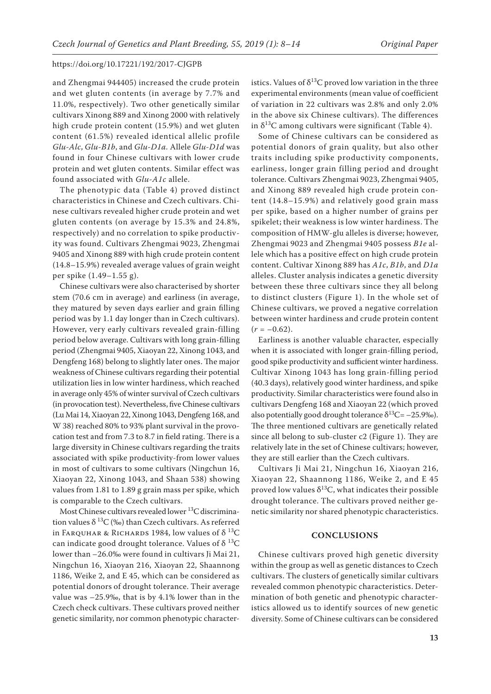and Zhengmai 944405) increased the crude protein and wet gluten contents (in average by 7.7% and 11.0%, respectively). Two other genetically similar cultivars Xinong 889 and Xinong 2000 with relatively high crude protein content (15.9%) and wet gluten content (61.5%) revealed identical allelic profile *Glu-Alc*, *Glu-B1b*, and *Glu-D1a.* Allele *Glu-D1d* was found in four Chinese cultivars with lower crude protein and wet gluten contents. Similar effect was found associated with *Glu-A1c* allele.

The phenotypic data (Table 4) proved distinct characteristics in Chinese and Czech cultivars. Chinese cultivars revealed higher crude protein and wet gluten contents (on average by 15.3% and 24.8%, respectively) and no correlation to spike productivity was found. Cultivars Zhengmai 9023, Zhengmai 9405 and Xinong 889 with high crude protein content (14.8–15.9%) revealed average values of grain weight per spike (1.49–1.55 g).

Chinese cultivars were also characterised by shorter stem (70.6 cm in average) and earliness (in average, they matured by seven days earlier and grain filling period was by 1.1 day longer than in Czech cultivars). However, very early cultivars revealed grain-filling period below average. Cultivars with long grain-filling period (Zhengmai 9405, Xiaoyan 22, Xinong 1043, and Dengfeng 168) belong to slightly later ones. The major weakness of Chinese cultivars regarding their potential utilization lies in low winter hardiness, which reached in average only 45% of winter survival of Czech cultivars (in provocation test). Nevertheless, five Chinese cultivars (Lu Mai 14, Xiaoyan 22, Xinong 1043, Dengfeng 168, and W 38) reached 80% to 93% plant survival in the provocation test and from 7.3 to 8.7 in field rating. There is a large diversity in Chinese cultivars regarding the traits associated with spike productivity-from lower values in most of cultivars to some cultivars (Ningchun 16, Xiaoyan 22, Xinong 1043, and Shaan 538) showing values from 1.81 to 1.89 g grain mass per spike, which is comparable to the Czech cultivars.

Most Chinese cultivars revealed lower <sup>13</sup>C discrimination values  $\delta^{13}C$  (‰) than Czech cultivars. As referred in Farquhar & Richards 1984, low values of  $\delta^{13}C$ can indicate good drought tolerance. Values of  $\delta^{13}C$ lower than –26.0‰ were found in cultivars Ji Mai 21, Ningchun 16, Xiaoyan 216, Xiaoyan 22, Shaannong 1186, Weike 2, and E 45, which can be considered as potential donors of drought tolerance. Their average value was –25.9‰, that is by 4.1% lower than in the Czech check cultivars. These cultivars proved neither genetic similarity, nor common phenotypic character-

istics. Values of  $\delta^{13}C$  proved low variation in the three experimental environments (mean value of coefficient of variation in 22 cultivars was 2.8% and only 2.0% in the above six Chinese cultivars). The differences in  $\delta^{13}$ C among cultivars were significant (Table 4).

Some of Chinese cultivars can be considered as potential donors of grain quality, but also other traits including spike productivity components, earliness, longer grain filling period and drought tolerance. Cultivars Zhengmai 9023, Zhengmai 9405, and Xinong 889 revealed high crude protein content (14.8–15.9%) and relatively good grain mass per spike, based on a higher number of grains per spikelet; their weakness is low winter hardiness. The composition of HMW-glu alleles is diverse; however, Zhengmai 9023 and Zhengmai 9405 possess *B1e* allele which has a positive effect on high crude protein content. Cultivar Xinong 889 has *A1c*, *B1b*, and *D1a*  alleles. Cluster analysis indicates a genetic diversity between these three cultivars since they all belong to distinct clusters (Figure 1). In the whole set of Chinese cultivars, we proved a negative correlation between winter hardiness and crude protein content  $(r = -0.62)$ .

Earliness is another valuable character, especially when it is associated with longer grain-filling period, good spike productivity and sufficient winter hardiness. Cultivar Xinong 1043 has long grain-filling period (40.3 days), relatively good winter hardiness, and spike productivity. Similar characteristics were found also in cultivars Dengfeng 168 and Xiaoyan 22 (which proved also potentially good drought tolerance  $\delta^{13}C = -25.9\%$ . The three mentioned cultivars are genetically related since all belong to sub-cluster c2 (Figure 1). They are relatively late in the set of Chinese cultivars; however, they are still earlier than the Czech cultivars.

Cultivars Ji Mai 21, Ningchun 16, Xiaoyan 216, Xiaoyan 22, Shaannong 1186, Weike 2, and E 45 proved low values  $\delta^{13}C$ , what indicates their possible drought tolerance. The cultivars proved neither genetic similarity nor shared phenotypic characteristics.

### **CONCLUSIONS**

Chinese cultivars proved high genetic diversity within the group as well as genetic distances to Czech cultivars. The clusters of genetically similar cultivars revealed common phenotypic characteristics. Determination of both genetic and phenotypic characteristics allowed us to identify sources of new genetic diversity. Some of Chinese cultivars can be considered